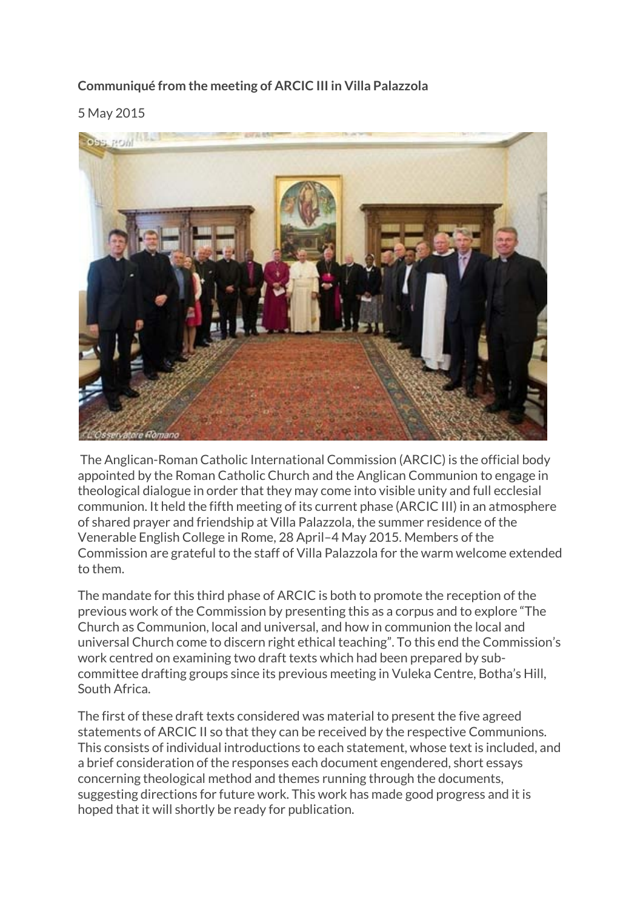# **Communiqué from the meeting of ARCIC III in Villa Palazzola**

5 May 2015



The Anglican-Roman Catholic International Commission (ARCIC) is the official body appointed by the Roman Catholic Church and the Anglican Communion to engage in theological dialogue in order that they may come into visible unity and full ecclesial communion. It held the fifth meeting of its current phase (ARCIC III) in an atmosphere of shared prayer and friendship at Villa Palazzola, the summer residence of the Venerable English College in Rome, 28 April–4 May 2015. Members of the Commission are grateful to the staff of Villa Palazzola for the warm welcome extended to them.

The mandate for this third phase of ARCIC is both to promote the reception of the previous work of the Commission by presenting this as a corpus and to explore "The Church as Communion, local and universal, and how in communion the local and universal Church come to discern right ethical teaching". To this end the Commission's work centred on examining two draft texts which had been prepared by subcommittee drafting groups since its previous meeting in Vuleka Centre, Botha's Hill, South Africa.

The first of these draft texts considered was material to present the five agreed statements of ARCIC II so that they can be received by the respective Communions. This consists of individual introductions to each statement, whose text is included, and a brief consideration of the responses each document engendered, short essays concerning theological method and themes running through the documents, suggesting directions for future work. This work has made good progress and it is hoped that it will shortly be ready for publication.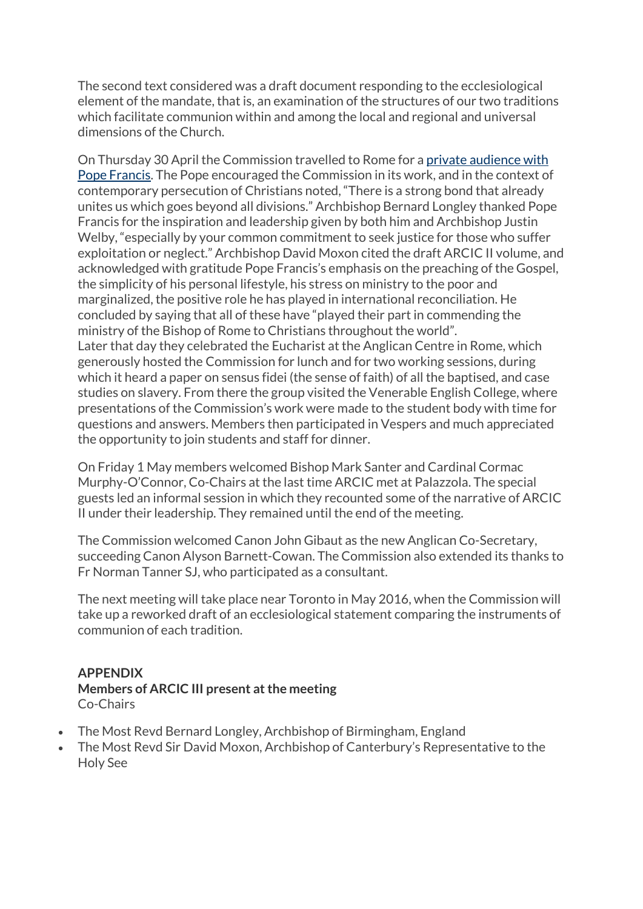The second text considered was a draft document responding to the ecclesiological element of the mandate, that is, an examination of the structures of our two traditions which facilitate communion within and among the local and regional and universal dimensions of the Church.

On Thursday 30 April the Commission travelled to Rome for a [private audience with](http://www.anglicannews.org/news/2015/04/pope-francis-meets-members-of-anglican-roman-catholic-international-commission.aspx)  [Pope Francis.](http://www.anglicannews.org/news/2015/04/pope-francis-meets-members-of-anglican-roman-catholic-international-commission.aspx) The Pope encouraged the Commission in its work, and in the context of contemporary persecution of Christians noted, "There is a strong bond that already unites us which goes beyond all divisions." Archbishop Bernard Longley thanked Pope Francis for the inspiration and leadership given by both him and Archbishop Justin Welby, "especially by your common commitment to seek justice for those who suffer exploitation or neglect." Archbishop David Moxon cited the draft ARCIC II volume, and acknowledged with gratitude Pope Francis's emphasis on the preaching of the Gospel, the simplicity of his personal lifestyle, his stress on ministry to the poor and marginalized, the positive role he has played in international reconciliation. He concluded by saying that all of these have "played their part in commending the ministry of the Bishop of Rome to Christians throughout the world". Later that day they celebrated the Eucharist at the Anglican Centre in Rome, which generously hosted the Commission for lunch and for two working sessions, during which it heard a paper on sensus fidei (the sense of faith) of all the baptised, and case studies on slavery. From there the group visited the Venerable English College, where presentations of the Commission's work were made to the student body with time for questions and answers. Members then participated in Vespers and much appreciated the opportunity to join students and staff for dinner.

On Friday 1 May members welcomed Bishop Mark Santer and Cardinal Cormac Murphy-O'Connor, Co-Chairs at the last time ARCIC met at Palazzola. The special guests led an informal session in which they recounted some of the narrative of ARCIC II under their leadership. They remained until the end of the meeting.

The Commission welcomed Canon John Gibaut as the new Anglican Co-Secretary, succeeding Canon Alyson Barnett-Cowan. The Commission also extended its thanks to Fr Norman Tanner SJ, who participated as a consultant.

The next meeting will take place near Toronto in May 2016, when the Commission will take up a reworked draft of an ecclesiological statement comparing the instruments of communion of each tradition.

## **APPENDIX Members of ARCIC III present at the meeting** Co-Chairs

- The Most Revd Bernard Longley, Archbishop of Birmingham, England
- The Most Revd Sir David Moxon, Archbishop of Canterbury's Representative to the Holy See